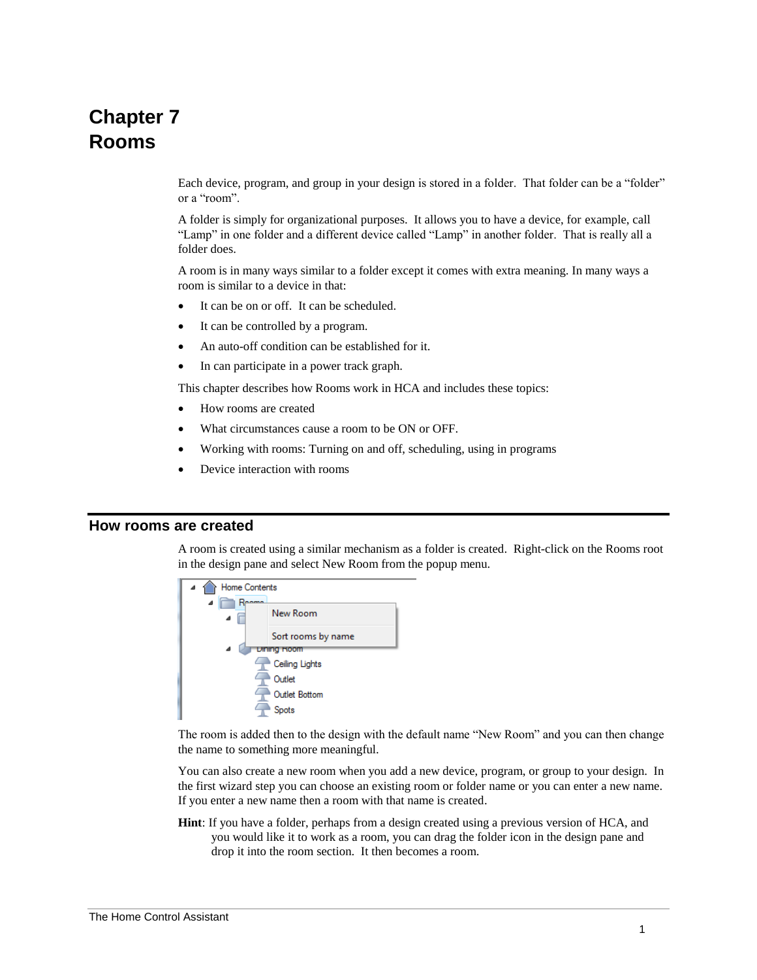# **Chapter 7 Rooms**

Each device, program, and group in your design is stored in a folder. That folder can be a "folder" or a "room".

A folder is simply for organizational purposes. It allows you to have a device, for example, call "Lamp" in one folder and a different device called "Lamp" in another folder. That is really all a folder does.

A room is in many ways similar to a folder except it comes with extra meaning. In many ways a room is similar to a device in that:

- It can be on or off. It can be scheduled.
- It can be controlled by a program.
- An auto-off condition can be established for it.
- In can participate in a power track graph.

This chapter describes how Rooms work in HCA and includes these topics:

- How rooms are created
- What circumstances cause a room to be ON or OFF.
- Working with rooms: Turning on and off, scheduling, using in programs
- Device interaction with rooms

## **How rooms are created**

A room is created using a similar mechanism as a folder is created. Right-click on the Rooms root in the design pane and select New Room from the popup menu.



The room is added then to the design with the default name "New Room" and you can then change the name to something more meaningful.

You can also create a new room when you add a new device, program, or group to your design. In the first wizard step you can choose an existing room or folder name or you can enter a new name. If you enter a new name then a room with that name is created.

**Hint**: If you have a folder, perhaps from a design created using a previous version of HCA, and you would like it to work as a room, you can drag the folder icon in the design pane and drop it into the room section. It then becomes a room.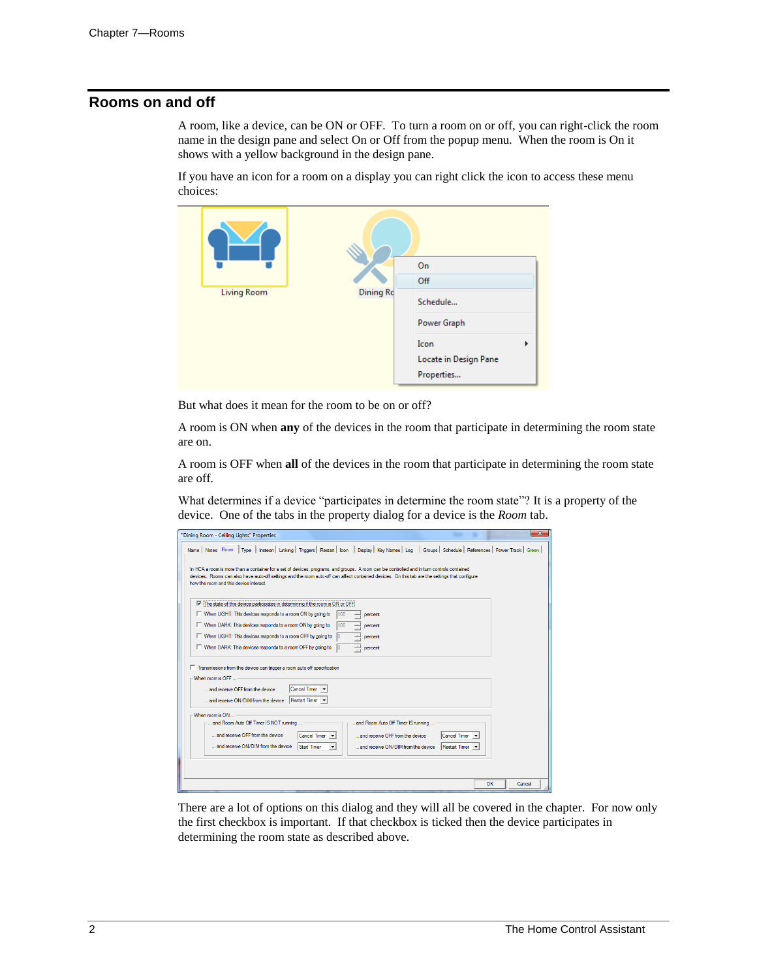# **Rooms on and off**

A room, like a device, can be ON or OFF. To turn a room on or off, you can right-click the room name in the design pane and select On or Off from the popup menu. When the room is On it shows with a yellow background in the design pane.

If you have an icon for a room on a display you can right click the icon to access these menu choices:

|                    |                  | On                                               |
|--------------------|------------------|--------------------------------------------------|
|                    |                  | Off                                              |
| <b>Living Room</b> | <b>Dining Rc</b> | Schedule                                         |
|                    |                  | Power Graph                                      |
|                    |                  | Icon<br>Þ<br>Locate in Design Pane<br>Properties |

But what does it mean for the room to be on or off?

A room is ON when **any** of the devices in the room that participate in determining the room state are on.

A room is OFF when **all** of the devices in the room that participate in determining the room state are off.

What determines if a device "participates in determine the room state"? It is a property of the device. One of the tabs in the property dialog for a device is the *Room* tab.

| "Dining Room - Ceiling Lights" Properties                                                                                                                                                                                                                                                                                              | - x    |  |  |
|----------------------------------------------------------------------------------------------------------------------------------------------------------------------------------------------------------------------------------------------------------------------------------------------------------------------------------------|--------|--|--|
| Type   Insteon   Linking   Triggers   Restart   Icon   Display   Key Names   Log   Groups   Schedule   References   Power Track   Green  <br>Name   Notes Room                                                                                                                                                                         |        |  |  |
| In HCA a room is more than a container for a set of devices, programs, and groups. A room can be controlled and in turn controls contained<br>devices. Rooms can also have auto-off settings and the room auto-off can affect contained devices. On this tab are the settings that configure<br>how the room and this device interact. |        |  |  |
| $\overline{\vee}$ The state of this device participates in determining if the room is ON or OFF.                                                                                                                                                                                                                                       |        |  |  |
| □ When LIGHT: This devices responds to a room ON by going to<br>100<br>percent                                                                                                                                                                                                                                                         |        |  |  |
| □ When DARK: This devices responds to a room ON by going to<br>100<br>percent                                                                                                                                                                                                                                                          |        |  |  |
| □ When LIGHT: This devices responds to a room OFF by going to<br>percent                                                                                                                                                                                                                                                               |        |  |  |
| When DARK: This devices responds to a room OFF by going to<br>percent                                                                                                                                                                                                                                                                  |        |  |  |
| T Transmissions from this device can trigger a room auto-off specification<br>When room is OFF<br><b>Cancel Timer</b><br>and receive OFF from the device<br>Restart Timer<br>and receive ON/DIM from the device                                                                                                                        |        |  |  |
| When room is ON                                                                                                                                                                                                                                                                                                                        |        |  |  |
| and Room Auto Off Timer IS NOT running<br>and Room Auto Off Timer IS running                                                                                                                                                                                                                                                           |        |  |  |
| and receive OFF from the device<br><b>Cancel Timer</b><br>and receive OFF from the device<br><b>Cancel Timer</b>                                                                                                                                                                                                                       |        |  |  |
| and receive ON/DIM from the device<br>Start Timer<br>and receive ON/DIM from the device<br>Restart Timer                                                                                                                                                                                                                               |        |  |  |
|                                                                                                                                                                                                                                                                                                                                        |        |  |  |
| <b>OK</b>                                                                                                                                                                                                                                                                                                                              | Cancel |  |  |

There are a lot of options on this dialog and they will all be covered in the chapter. For now only the first checkbox is important. If that checkbox is ticked then the device participates in determining the room state as described above.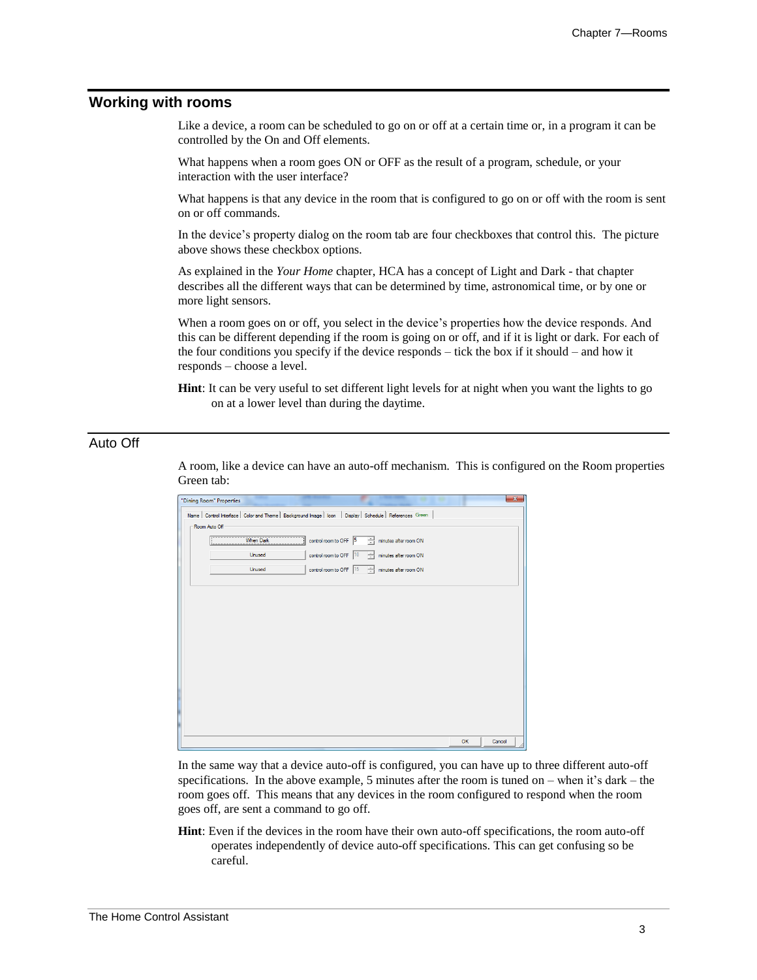# **Working with rooms**

Like a device, a room can be scheduled to go on or off at a certain time or, in a program it can be controlled by the On and Off elements.

What happens when a room goes ON or OFF as the result of a program, schedule, or your interaction with the user interface?

What happens is that any device in the room that is configured to go on or off with the room is sent on or off commands.

In the device's property dialog on the room tab are four checkboxes that control this. The picture above shows these checkbox options.

As explained in the *Your Home* chapter, HCA has a concept of Light and Dark - that chapter describes all the different ways that can be determined by time, astronomical time, or by one or more light sensors.

When a room goes on or off, you select in the device's properties how the device responds. And this can be different depending if the room is going on or off, and if it is light or dark. For each of the four conditions you specify if the device responds – tick the box if it should – and how it responds – choose a level.

**Hint**: It can be very useful to set different light levels for at night when you want the lights to go on at a lower level than during the daytime.

# Auto Off

A room, like a device can have an auto-off mechanism. This is configured on the Room properties Green tab:

| ٠<br>"Dining Room" Properties                                                                                |    | $\overline{\mathbf{x}}$ |
|--------------------------------------------------------------------------------------------------------------|----|-------------------------|
| Name   Control Interface   Color and Theme   Background Image   Icon   Display   Schedule   References Green |    |                         |
| - Room Auto Off                                                                                              |    |                         |
| control room to OFF 5<br>$\div$ minutes after room ON<br><b>When Dark</b>                                    |    |                         |
| control room to OFF 10<br>minutes after room ON<br>Unused                                                    |    |                         |
| control room to OFF 15 - minutes after room ON<br>Unused                                                     |    |                         |
|                                                                                                              |    |                         |
|                                                                                                              |    |                         |
|                                                                                                              |    |                         |
|                                                                                                              |    |                         |
|                                                                                                              |    |                         |
|                                                                                                              |    |                         |
|                                                                                                              |    |                         |
|                                                                                                              |    |                         |
|                                                                                                              |    |                         |
|                                                                                                              |    |                         |
|                                                                                                              |    |                         |
|                                                                                                              | OK | Cancel                  |
|                                                                                                              |    |                         |

In the same way that a device auto-off is configured, you can have up to three different auto-off specifications. In the above example, 5 minutes after the room is tuned on – when it's dark – the room goes off. This means that any devices in the room configured to respond when the room goes off, are sent a command to go off.

**Hint**: Even if the devices in the room have their own auto-off specifications, the room auto-off operates independently of device auto-off specifications. This can get confusing so be careful.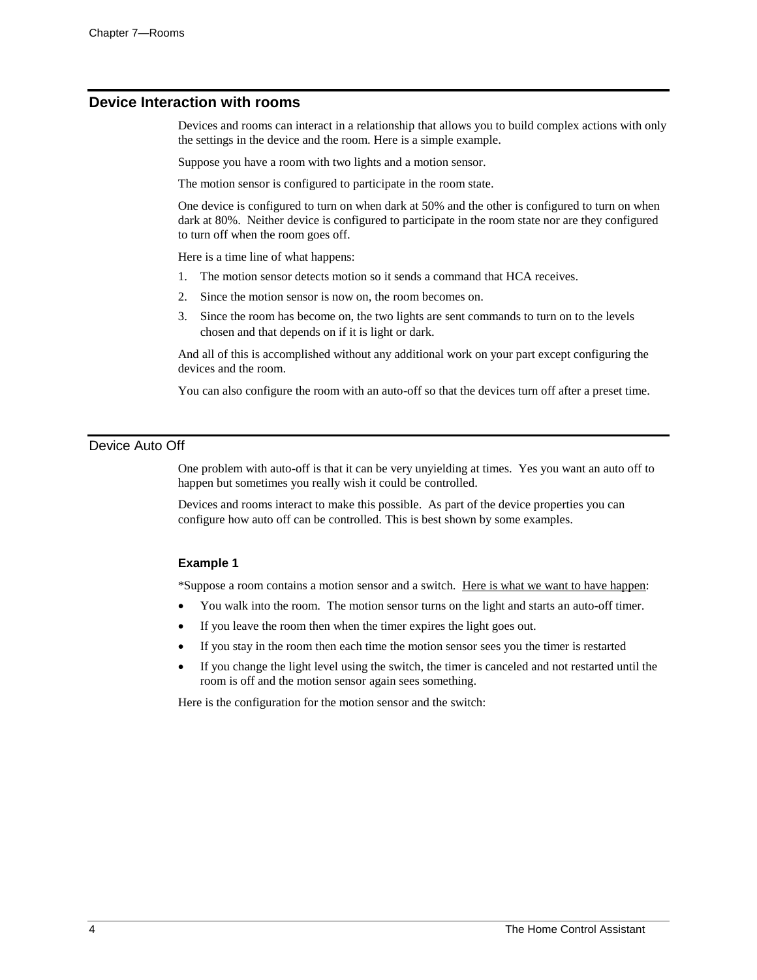# **Device Interaction with rooms**

Devices and rooms can interact in a relationship that allows you to build complex actions with only the settings in the device and the room. Here is a simple example.

Suppose you have a room with two lights and a motion sensor.

The motion sensor is configured to participate in the room state.

One device is configured to turn on when dark at 50% and the other is configured to turn on when dark at 80%. Neither device is configured to participate in the room state nor are they configured to turn off when the room goes off.

Here is a time line of what happens:

- 1. The motion sensor detects motion so it sends a command that HCA receives.
- 2. Since the motion sensor is now on, the room becomes on.
- 3. Since the room has become on, the two lights are sent commands to turn on to the levels chosen and that depends on if it is light or dark.

And all of this is accomplished without any additional work on your part except configuring the devices and the room.

You can also configure the room with an auto-off so that the devices turn off after a preset time.

# Device Auto Off

One problem with auto-off is that it can be very unyielding at times. Yes you want an auto off to happen but sometimes you really wish it could be controlled.

Devices and rooms interact to make this possible. As part of the device properties you can configure how auto off can be controlled. This is best shown by some examples.

## **Example 1**

\*Suppose a room contains a motion sensor and a switch. Here is what we want to have happen:

- You walk into the room. The motion sensor turns on the light and starts an auto-off timer.
- If you leave the room then when the timer expires the light goes out.
- If you stay in the room then each time the motion sensor sees you the timer is restarted
- If you change the light level using the switch, the timer is canceled and not restarted until the room is off and the motion sensor again sees something.

Here is the configuration for the motion sensor and the switch: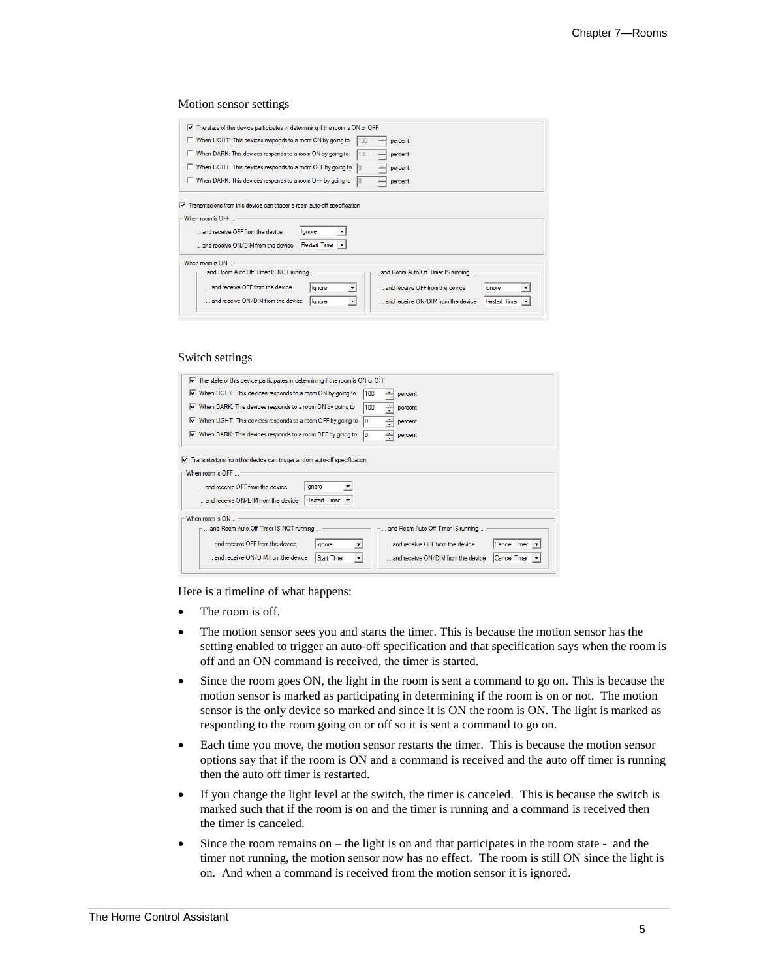#### Motion sensor settings

| $\overline{\mathbf{v}}$ The state of this device participates in determining if the room is ON or OFF |                                                                             |  |  |  |
|-------------------------------------------------------------------------------------------------------|-----------------------------------------------------------------------------|--|--|--|
| When LIGHT: This devices responds to a room ON by going to                                            | percent                                                                     |  |  |  |
| When DARK: This devices responds to a room ON by going to                                             | percent                                                                     |  |  |  |
| When LIGHT: This devices responds to a room OFF by going to                                           | percent                                                                     |  |  |  |
| When DARK: This devices responds to a room OFF by going to                                            | percent                                                                     |  |  |  |
| $\nabla$ Transmissions from this device can trigger a room auto-off specification<br>When room is OFF |                                                                             |  |  |  |
|                                                                                                       |                                                                             |  |  |  |
| and receive OFF from the device<br>lgnore                                                             |                                                                             |  |  |  |
| Restart Timer v<br>and receive ON/DIM from the device                                                 |                                                                             |  |  |  |
| When room is ON                                                                                       |                                                                             |  |  |  |
| and Room Auto Off Timer IS NOT running                                                                | and Room Auto Off Timer IS running                                          |  |  |  |
| and receive OFF from the device<br>lgnore                                                             | and receive OFF from the device<br>lanore<br>$\blacktriangledown$           |  |  |  |
| and receive ON/DIM from the device<br>Ignore                                                          | and receive ON/DIM from the device<br>Restart Timer<br>$\blacktriangledown$ |  |  |  |
|                                                                                                       |                                                                             |  |  |  |

#### Switch settings

| $\triangleright$ The state of this device participates in determining if the room is ON or OFF                                                                                                                                                           |  |  |  |  |
|----------------------------------------------------------------------------------------------------------------------------------------------------------------------------------------------------------------------------------------------------------|--|--|--|--|
| $\overline{\mathsf{v}}$ When LIGHT: This devices responds to a room ON by going to<br>100<br>percent                                                                                                                                                     |  |  |  |  |
| $\triangledown$ When DARK: This devices responds to a room ON by going to<br>100<br>percent                                                                                                                                                              |  |  |  |  |
| When LIGHT: This devices responds to a room OFF by going to<br>⊽<br>percent                                                                                                                                                                              |  |  |  |  |
| $\overline{V}$ When DARK: This devices responds to a room OFF by going to<br>÷<br>percent                                                                                                                                                                |  |  |  |  |
| $\overline{\mathbf{v}}$ Transmissions from this device can trigger a room auto-off specification<br>When mom is OFF<br>lanore<br>and receive OFF from the device                                                                                         |  |  |  |  |
| Restart Timer v<br>and receive ON/DIM from the device<br>When room is ON<br>and Room Auto Off Timer IS NOT running<br>and Room Auto Off Timer IS running                                                                                                 |  |  |  |  |
| and receive OFF from the device<br><b>Cancel Timer</b><br>and receive OFF from the device<br>lanore<br>and receive ON/DIM from the device<br><b>Start Timer</b><br>and receive ON/DIM from the device<br><b>Cancel Timer</b><br>$\overline{\phantom{a}}$ |  |  |  |  |

Here is a timeline of what happens:

- The room is off.
- The motion sensor sees you and starts the timer. This is because the motion sensor has the setting enabled to trigger an auto-off specification and that specification says when the room is off and an ON command is received, the timer is started.
- Since the room goes ON, the light in the room is sent a command to go on. This is because the motion sensor is marked as participating in determining if the room is on or not. The motion sensor is the only device so marked and since it is ON the room is ON. The light is marked as responding to the room going on or off so it is sent a command to go on.
- Each time you move, the motion sensor restarts the timer. This is because the motion sensor options say that if the room is ON and a command is received and the auto off timer is running then the auto off timer is restarted.
- If you change the light level at the switch, the timer is canceled. This is because the switch is marked such that if the room is on and the timer is running and a command is received then the timer is canceled.
- Since the room remains on the light is on and that participates in the room state and the timer not running, the motion sensor now has no effect. The room is still ON since the light is on. And when a command is received from the motion sensor it is ignored.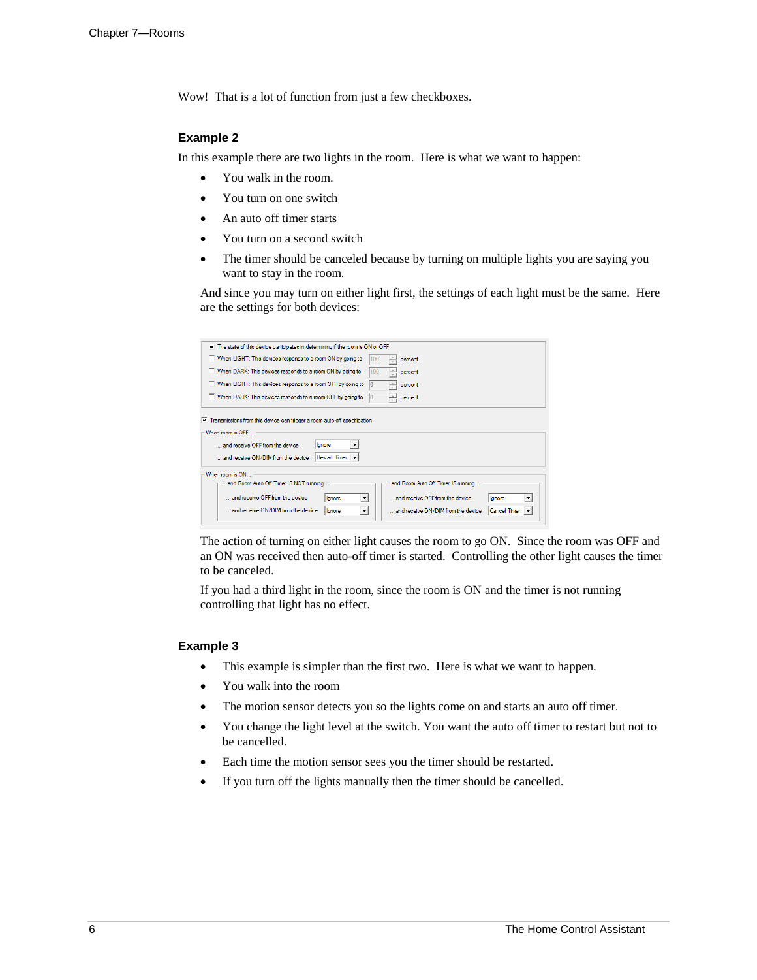Wow! That is a lot of function from just a few checkboxes.

## **Example 2**

In this example there are two lights in the room. Here is what we want to happen:

- You walk in the room.
- You turn on one switch
- An auto off timer starts
- You turn on a second switch
- The timer should be canceled because by turning on multiple lights you are saying you want to stay in the room.

And since you may turn on either light first, the settings of each light must be the same. Here are the settings for both devices:

| $\triangledown$ The state of this device participates in determining if the room is ON or OFF                                                                                                                                                                                                                                                                                        |
|--------------------------------------------------------------------------------------------------------------------------------------------------------------------------------------------------------------------------------------------------------------------------------------------------------------------------------------------------------------------------------------|
| When LIGHT: This devices responds to a room ON by going to<br>percent                                                                                                                                                                                                                                                                                                                |
| When DARK: This devices responds to a room ON by going to<br>100<br>percent                                                                                                                                                                                                                                                                                                          |
| When LIGHT: This devices responds to a room OFF by going to<br>÷<br>percent                                                                                                                                                                                                                                                                                                          |
| When DARK: This devices responds to a room OFF by going to<br>percent                                                                                                                                                                                                                                                                                                                |
| $\overline{\mathbf{v}}$ Transmissions from this device can trigger a room auto-off specification<br>When room is OFF<br>lanore<br>and receive OFF from the device<br>Restart Timer v<br>and receive ON/DIM from the device                                                                                                                                                           |
| When room is ON<br>and Room Auto Off Timer IS NOT running<br>and Room Auto Off Timer IS running<br>and receive OFF from the device<br>and receive OFF from the device<br>lanore<br>lanore<br>$\overline{\phantom{a}}$<br>▼<br>and receive ON/DIM from the device<br>and receive ON/DIM from the device<br>Cancel Timer<br>lgnore<br>$\blacktriangledown$<br>$\overline{\phantom{a}}$ |

The action of turning on either light causes the room to go ON. Since the room was OFF and an ON was received then auto-off timer is started. Controlling the other light causes the timer to be canceled.

If you had a third light in the room, since the room is ON and the timer is not running controlling that light has no effect.

### **Example 3**

- This example is simpler than the first two. Here is what we want to happen.
- You walk into the room
- The motion sensor detects you so the lights come on and starts an auto off timer.
- You change the light level at the switch. You want the auto off timer to restart but not to be cancelled.
- Each time the motion sensor sees you the timer should be restarted.
- If you turn off the lights manually then the timer should be cancelled.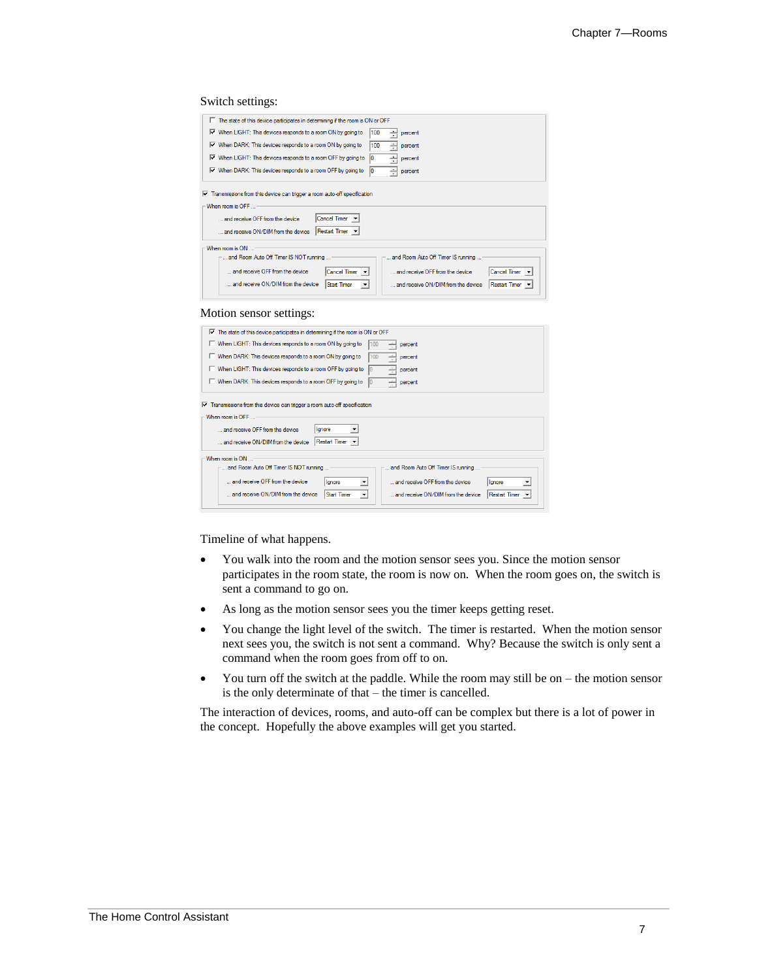## Switch settings:

| The state of this device participates in determining if the room is ON or OFF                                                                                                                                                                       |
|-----------------------------------------------------------------------------------------------------------------------------------------------------------------------------------------------------------------------------------------------------|
| Ⅳ When LIGHT: This devices responds to a room ON by going to<br>100<br>percent                                                                                                                                                                      |
| Ⅳ When DARK: This devices responds to a room ON by going to<br>100<br>÷<br>percent                                                                                                                                                                  |
| $\triangleright$ When LIGHT: This devices responds to a room OFF by going to<br>÷<br>10<br>percent                                                                                                                                                  |
| Ⅳ When DARK: This devices responds to a room OFF by going to<br>÷<br>10<br>percent                                                                                                                                                                  |
| $\nabla$ Transmissions from this device can trigger a room auto-off specification<br>-When room is OFF<br>Cancel Timer v<br>and receive OFF from the device<br>Restart Timer v<br>and receive ON/DIM from the device                                |
| When room is ON                                                                                                                                                                                                                                     |
| and Room Auto Off Timer IS NOT running<br>and Room Auto Off Timer IS running                                                                                                                                                                        |
| and receive OFF from the device<br>Cancel Timer v<br>and receive OFF from the device<br>Cancel Timer v<br>and receive ON/DIM from the device<br>and receive ON/DIM from the device<br><b>Start Timer</b><br>Restart Timer v<br>$\blacktriangledown$ |

#### Motion sensor settings:

| $\overline{V}$ The state of this device participates in determining if the room is ON or OFF                                                                                                                                                                                                                                                                                                                           |  |  |
|------------------------------------------------------------------------------------------------------------------------------------------------------------------------------------------------------------------------------------------------------------------------------------------------------------------------------------------------------------------------------------------------------------------------|--|--|
| When LIGHT: This devices responds to a room ON by going to<br>percent                                                                                                                                                                                                                                                                                                                                                  |  |  |
| When DARK: This devices responds to a room ON by going to<br>100<br>percent                                                                                                                                                                                                                                                                                                                                            |  |  |
| When LIGHT: This devices responds to a room OFF by going to<br>percent                                                                                                                                                                                                                                                                                                                                                 |  |  |
| When DARK: This devices responds to a room OFF by going to<br>percent                                                                                                                                                                                                                                                                                                                                                  |  |  |
| $\overline{\mathbf{v}}$ Transmissions from this device can trigger a room auto-off specification<br>When room is OFF                                                                                                                                                                                                                                                                                                   |  |  |
| and receive OFF from the device<br>lgnore<br><b>Restart Timer</b><br>and receive ON/DIM from the device                                                                                                                                                                                                                                                                                                                |  |  |
| When mom is ON<br>and Room Auto Off Timer IS NOT running<br>and Room Auto Off Timer IS running<br>and receive OFF from the device<br>and receive OFF from the device<br>lgnore<br>lanore<br>$\blacktriangledown$<br>$\blacktriangledown$<br>and receive ON/DIM from the device<br><b>Start Timer</b><br>and receive ON/DIM from the device<br><b>Restart Timer</b><br>$\blacktriangledown$<br>$\overline{\phantom{a}}$ |  |  |

#### Timeline of what happens.

- You walk into the room and the motion sensor sees you. Since the motion sensor participates in the room state, the room is now on. When the room goes on, the switch is sent a command to go on.
- As long as the motion sensor sees you the timer keeps getting reset.
- You change the light level of the switch. The timer is restarted. When the motion sensor next sees you, the switch is not sent a command. Why? Because the switch is only sent a command when the room goes from off to on.
- You turn off the switch at the paddle. While the room may still be on the motion sensor is the only determinate of that – the timer is cancelled.

The interaction of devices, rooms, and auto-off can be complex but there is a lot of power in the concept. Hopefully the above examples will get you started.